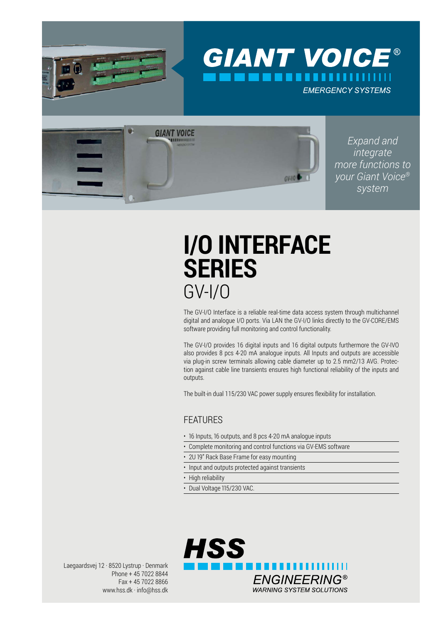

# **I/O INTERFACE SERIES** GV-I/O

The GV-I/O Interface is a reliable real-time data access system through multichannel digital and analogue I/O ports. Via LAN the GV-I/O links directly to the GV-CORE/EMS software providing full monitoring and control functionality.

The GV-I/O provides 16 digital inputs and 16 digital outputs furthermore the GV-IVO also provides 8 pcs 4-20 mA analogue inputs. All Inputs and outputs are accessible via plug-in screw terminals allowing cable diameter up to 2.5 mm2/13 AVG. Protection against cable line transients ensures high functional reliability of the inputs and outputs.

The built-in dual 115/230 VAC power supply ensures flexibility for installation.

### **FFATURES**

- 16 Inputs, 16 outputs, and 8 pcs 4-20 mA analogue inputs
- Complete monitoring and control functions via GV-EMS software
- 2U 19" Rack Base Frame for easy mounting
- Input and outputs protected against transients
- High reliability
- Dual Voltage 115/230 VAC.

Laegaardsvej 12 · 8520 Lystrup · Denmark Phone + 45 7022 8844 Fax + 45 7022 8866 www.hss.dk · info@hss.dk **HSS** 11 I I **ENGINEERING® WARNING SYSTEM SOLUTIONS**